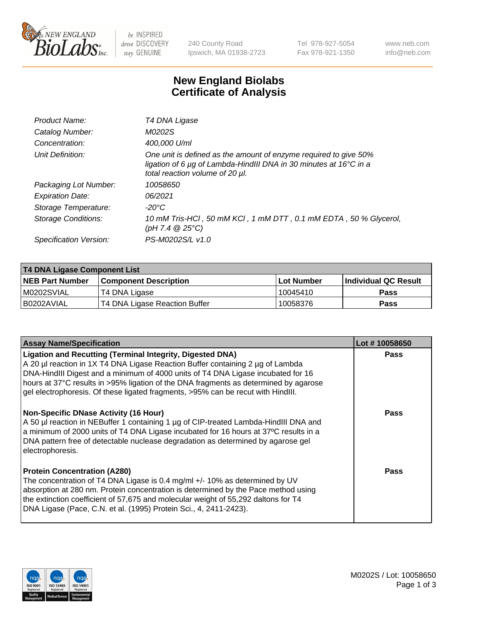

be INSPIRED drive DISCOVERY stay GENUINE

240 County Road Ipswich, MA 01938-2723 Tel 978-927-5054 Fax 978-921-1350 www.neb.com info@neb.com

## **New England Biolabs Certificate of Analysis**

| Product Name:           | T4 DNA Ligase                                                                                                                                                            |
|-------------------------|--------------------------------------------------------------------------------------------------------------------------------------------------------------------------|
| Catalog Number:         | M0202S                                                                                                                                                                   |
| Concentration:          | 400,000 U/ml                                                                                                                                                             |
| Unit Definition:        | One unit is defined as the amount of enzyme required to give 50%<br>ligation of 6 µg of Lambda-HindIII DNA in 30 minutes at 16°C in a<br>total reaction volume of 20 µl. |
| Packaging Lot Number:   | 10058650                                                                                                                                                                 |
| <b>Expiration Date:</b> | 06/2021                                                                                                                                                                  |
| Storage Temperature:    | -20°C                                                                                                                                                                    |
| Storage Conditions:     | 10 mM Tris-HCl, 50 mM KCl, 1 mM DTT, 0.1 mM EDTA, 50 % Glycerol,<br>(pH 7.4 $@25°C$ )                                                                                    |
| Specification Version:  | PS-M0202S/L v1.0                                                                                                                                                         |

| T4 DNA Ligase Component List |                               |            |                             |  |
|------------------------------|-------------------------------|------------|-----------------------------|--|
| <b>NEB Part Number</b>       | <b>Component Description</b>  | Lot Number | <b>Individual QC Result</b> |  |
| M0202SVIAL                   | T4 DNA Ligase                 | 10045410   | Pass                        |  |
| I B0202AVIAL                 | T4 DNA Ligase Reaction Buffer | 10058376   | <b>Pass</b>                 |  |

| <b>Assay Name/Specification</b>                                                                                                                                                                                                                                                                                                                                                                                    | Lot #10058650 |
|--------------------------------------------------------------------------------------------------------------------------------------------------------------------------------------------------------------------------------------------------------------------------------------------------------------------------------------------------------------------------------------------------------------------|---------------|
| <b>Ligation and Recutting (Terminal Integrity, Digested DNA)</b><br>A 20 µl reaction in 1X T4 DNA Ligase Reaction Buffer containing 2 µg of Lambda<br>DNA-HindIII Digest and a minimum of 4000 units of T4 DNA Ligase incubated for 16<br>hours at 37°C results in >95% ligation of the DNA fragments as determined by agarose<br>gel electrophoresis. Of these ligated fragments, >95% can be recut with HindIII. | <b>Pass</b>   |
| <b>Non-Specific DNase Activity (16 Hour)</b><br>A 50 µl reaction in NEBuffer 1 containing 1 µg of CIP-treated Lambda-HindIII DNA and<br>a minimum of 2000 units of T4 DNA Ligase incubated for 16 hours at 37°C results in a<br>DNA pattern free of detectable nuclease degradation as determined by agarose gel<br>electrophoresis.                                                                               | <b>Pass</b>   |
| <b>Protein Concentration (A280)</b><br>The concentration of T4 DNA Ligase is 0.4 mg/ml +/- 10% as determined by UV<br>absorption at 280 nm. Protein concentration is determined by the Pace method using<br>the extinction coefficient of 57,675 and molecular weight of 55,292 daltons for T4<br>DNA Ligase (Pace, C.N. et al. (1995) Protein Sci., 4, 2411-2423).                                                | Pass          |

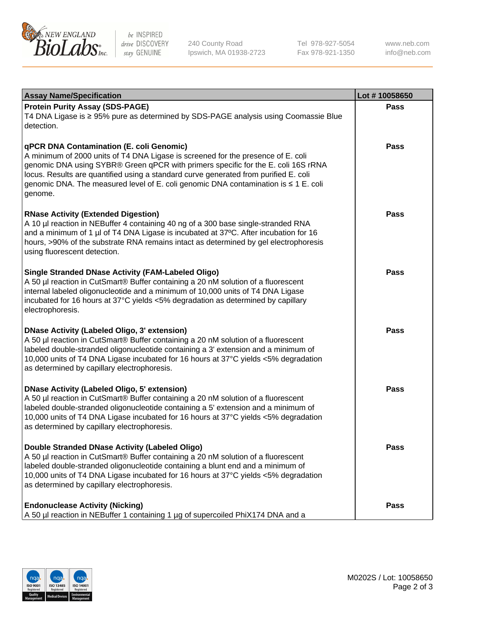

be INSPIRED drive DISCOVERY stay GENUINE

240 County Road Ipswich, MA 01938-2723 Tel 978-927-5054 Fax 978-921-1350

www.neb.com info@neb.com

| <b>Assay Name/Specification</b>                                                                                                                                                                                                                                                                                                                                                                             | Lot #10058650 |
|-------------------------------------------------------------------------------------------------------------------------------------------------------------------------------------------------------------------------------------------------------------------------------------------------------------------------------------------------------------------------------------------------------------|---------------|
| <b>Protein Purity Assay (SDS-PAGE)</b><br>T4 DNA Ligase is ≥ 95% pure as determined by SDS-PAGE analysis using Coomassie Blue<br>detection.                                                                                                                                                                                                                                                                 | Pass          |
| qPCR DNA Contamination (E. coli Genomic)<br>A minimum of 2000 units of T4 DNA Ligase is screened for the presence of E. coli<br>genomic DNA using SYBR® Green qPCR with primers specific for the E. coli 16S rRNA<br>locus. Results are quantified using a standard curve generated from purified E. coli<br>genomic DNA. The measured level of E. coli genomic DNA contamination is ≤ 1 E. coli<br>genome. | Pass          |
| <b>RNase Activity (Extended Digestion)</b><br>A 10 µl reaction in NEBuffer 4 containing 40 ng of a 300 base single-stranded RNA<br>and a minimum of 1 µl of T4 DNA Ligase is incubated at 37°C. After incubation for 16<br>hours, >90% of the substrate RNA remains intact as determined by gel electrophoresis<br>using fluorescent detection.                                                             | Pass          |
| <b>Single Stranded DNase Activity (FAM-Labeled Oligo)</b><br>A 50 µl reaction in CutSmart® Buffer containing a 20 nM solution of a fluorescent<br>internal labeled oligonucleotide and a minimum of 10,000 units of T4 DNA Ligase<br>incubated for 16 hours at 37°C yields <5% degradation as determined by capillary<br>electrophoresis.                                                                   | Pass          |
| <b>DNase Activity (Labeled Oligo, 3' extension)</b><br>A 50 µl reaction in CutSmart® Buffer containing a 20 nM solution of a fluorescent<br>labeled double-stranded oligonucleotide containing a 3' extension and a minimum of<br>10,000 units of T4 DNA Ligase incubated for 16 hours at 37°C yields <5% degradation<br>as determined by capillary electrophoresis.                                        | <b>Pass</b>   |
| <b>DNase Activity (Labeled Oligo, 5' extension)</b><br>A 50 µl reaction in CutSmart® Buffer containing a 20 nM solution of a fluorescent<br>labeled double-stranded oligonucleotide containing a 5' extension and a minimum of<br>10,000 units of T4 DNA Ligase incubated for 16 hours at 37°C yields <5% degradation<br>as determined by capillary electrophoresis.                                        | Pass          |
| Double Stranded DNase Activity (Labeled Oligo)<br>A 50 µl reaction in CutSmart® Buffer containing a 20 nM solution of a fluorescent<br>labeled double-stranded oligonucleotide containing a blunt end and a minimum of<br>10,000 units of T4 DNA Ligase incubated for 16 hours at 37°C yields <5% degradation<br>as determined by capillary electrophoresis.                                                | Pass          |
| <b>Endonuclease Activity (Nicking)</b><br>A 50 µl reaction in NEBuffer 1 containing 1 µg of supercoiled PhiX174 DNA and a                                                                                                                                                                                                                                                                                   | Pass          |